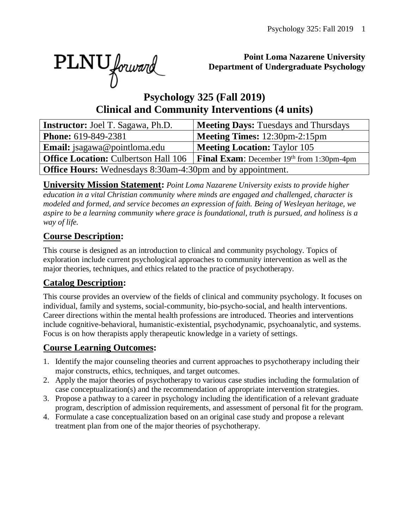PLNU forward

#### **Point Loma Nazarene University Department of Undergraduate Psychology**

# **Psychology 325 (Fall 2019) Clinical and Community Interventions (4 units)**

| <b>Instructor:</b> Joel T. Sagawa, Ph.D.                          | <b>Meeting Days: Tuesdays and Thursdays</b>        |  |  |  |  |  |  |
|-------------------------------------------------------------------|----------------------------------------------------|--|--|--|--|--|--|
| <b>Phone:</b> 619-849-2381                                        | <b>Meeting Times:</b> 12:30pm-2:15pm               |  |  |  |  |  |  |
| <b>Email:</b> jsagawa@pointloma.edu                               | <b>Meeting Location: Taylor 105</b>                |  |  |  |  |  |  |
| <b>Office Location: Culbertson Hall 106</b>                       | <b>Final Exam:</b> December $19th$ from 1:30pm-4pm |  |  |  |  |  |  |
| <b>Office Hours:</b> Wednesdays 8:30am-4:30pm and by appointment. |                                                    |  |  |  |  |  |  |

**University Mission Statement:** *Point Loma Nazarene University exists to provide higher education in a vital Christian community where minds are engaged and challenged, character is modeled and formed, and service becomes an expression of faith. Being of Wesleyan heritage, we aspire to be a learning community where grace is foundational, truth is pursued, and holiness is a way of life.*

### **Course Description:**

This course is designed as an introduction to clinical and community psychology. Topics of exploration include current psychological approaches to community intervention as well as the major theories, techniques, and ethics related to the practice of psychotherapy.

## **Catalog Description:**

This course provides an overview of the fields of clinical and community psychology. It focuses on individual, family and systems, social-community, bio-psycho-social, and health interventions. Career directions within the mental health professions are introduced. Theories and interventions include cognitive-behavioral, humanistic-existential, psychodynamic, psychoanalytic, and systems. Focus is on how therapists apply therapeutic knowledge in a variety of settings.

### **Course Learning Outcomes:**

- 1. Identify the major counseling theories and current approaches to psychotherapy including their major constructs, ethics, techniques, and target outcomes.
- 2. Apply the major theories of psychotherapy to various case studies including the formulation of case conceptualization(s) and the recommendation of appropriate intervention strategies.
- 3. Propose a pathway to a career in psychology including the identification of a relevant graduate program, description of admission requirements, and assessment of personal fit for the program.
- 4. Formulate a case conceptualization based on an original case study and propose a relevant treatment plan from one of the major theories of psychotherapy.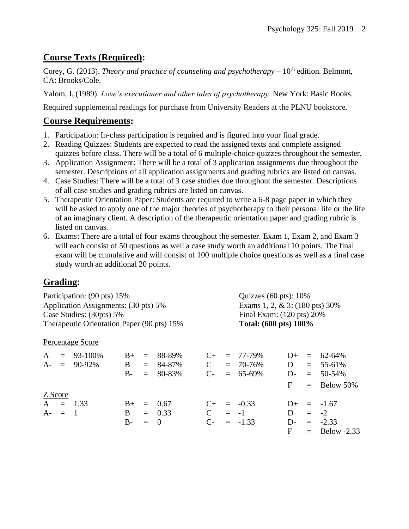### **Course Texts (Required):**

Corey, G. (2013). *Theory and practice of counseling and psychotherapy* – 10<sup>th</sup> edition. Belmont, CA: Brooks/Cole.

Yalom, I. (1989). *Love's executioner and other tales of psychotherapy.* New York: Basic Books.

Required supplemental readings for purchase from University Readers at the PLNU bookstore.

### **Course Requirements:**

- 1. Participation: In-class participation is required and is figured into your final grade.
- 2. Reading Quizzes: Students are expected to read the assigned texts and complete assigned quizzes before class. There will be a total of 6 multiple-choice quizzes throughout the semester.
- 3. Application Assignment: There will be a total of 3 application assignments due throughout the semester. Descriptions of all application assignments and grading rubrics are listed on canvas.
- 4. Case Studies: There will be a total of 3 case studies due throughout the semester. Descriptions of all case studies and grading rubrics are listed on canvas.
- 5. Therapeutic Orientation Paper: Students are required to write a 6-8 page paper in which they will be asked to apply one of the major theories of psychotherapy to their personal life or the life of an imaginary client. A description of the therapeutic orientation paper and grading rubric is listed on canvas.
- 6. Exams: There are a total of four exams throughout the semester. Exam 1, Exam 2, and Exam 3 will each consist of 50 questions as well a case study worth an additional 10 points. The final exam will be cumulative and will consist of 100 multiple choice questions as well as a final case study worth an additional 20 points.

## **Grading:**

| Participation: (90 pts) 15%<br>Application Assignments: (30 pts) 5%<br>Case Studies: (30pts) 5% |           |                  |              |         |          |              |  | Quizzes (60 pts): 10%                                                                           |              |     |                 |                                            |
|-------------------------------------------------------------------------------------------------|-----------|------------------|--------------|---------|----------|--------------|--|-------------------------------------------------------------------------------------------------|--------------|-----|-----------------|--------------------------------------------|
|                                                                                                 |           |                  |              |         |          |              |  | Exams 1, 2, $& 3: (180 \text{ pts}) 30\%$<br>Final Exam: (120 pts) 20%<br>Total: (600 pts) 100% |              |     |                 |                                            |
|                                                                                                 |           |                  |              |         |          |              |  |                                                                                                 |              |     |                 | Therapeutic Orientation Paper (90 pts) 15% |
|                                                                                                 |           | Percentage Score |              |         |          |              |  |                                                                                                 |              |     |                 |                                            |
| A                                                                                               |           | $= 93-100\%$     | $B+$         | $=$     | 88-89%   | $C_{\pm}$    |  | $= 77 - 79\%$                                                                                   | $D+$         |     | $= 62 - 64\%$   |                                            |
|                                                                                                 |           | $A - = 90-92\%$  | $\mathbf{B}$ | $=$ $-$ | 84-87%   | $\mathbf{C}$ |  | $= 70 - 76\%$                                                                                   | D            |     | $= 55-61\%$     |                                            |
|                                                                                                 |           |                  | $B -$        | $=$     | 80-83%   | $C_{\tau}$   |  | $= 65-69\%$                                                                                     | $\mathbf{D}$ |     | $= 50 - 54\%$   |                                            |
|                                                                                                 |           |                  |              |         |          |              |  |                                                                                                 | F            | $=$ | Below 50%       |                                            |
|                                                                                                 | Z Score   |                  |              |         |          |              |  |                                                                                                 |              |     |                 |                                            |
|                                                                                                 |           | $A = 1.33$       | $B+$         | $=$     | 0.67     | $C_{\pm}$    |  | $= -0.33$                                                                                       | $D+$         |     | $=$ -1.67       |                                            |
|                                                                                                 | $A - = 1$ |                  | B            |         | $= 0.33$ | $\mathbf{C}$ |  | $= -1$                                                                                          | D            |     | $= -2$          |                                            |
|                                                                                                 |           |                  | $B-$         | $=$     | $\Omega$ | $C$ -        |  | $= -1.33$                                                                                       | D-           |     | $= -2.33$       |                                            |
|                                                                                                 |           |                  |              |         |          |              |  |                                                                                                 | F            |     | $=$ Below -2.33 |                                            |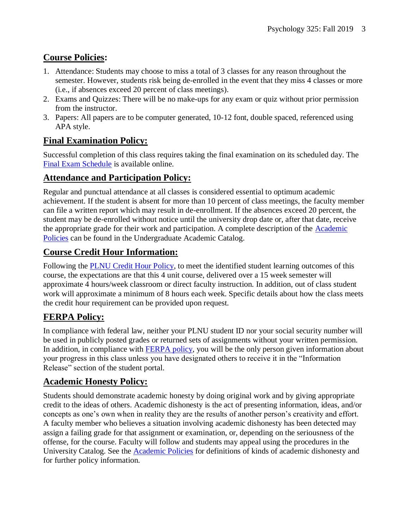## **Course Policies:**

- 1. Attendance: Students may choose to miss a total of 3 classes for any reason throughout the semester. However, students risk being de-enrolled in the event that they miss 4 classes or more (i.e., if absences exceed 20 percent of class meetings).
- 2. Exams and Quizzes: There will be no make-ups for any exam or quiz without prior permission from the instructor.
- 3. Papers: All papers are to be computer generated, 10-12 font, double spaced, referenced using APA style.

## **Final Examination Policy:**

Successful completion of this class requires taking the final examination on its scheduled day. The [Final Exam Schedule](http://www.pointloma.edu/experience/academics/class-schedules) is available online.

## **Attendance and Participation Policy:**

Regular and punctual attendance at all classes is considered essential to optimum academic achievement. If the student is absent for more than 10 percent of class meetings, the faculty member can file a written report which may result in de-enrollment. If the absences exceed 20 percent, the student may be de-enrolled without notice until the university drop date or, after that date, receive the appropriate grade for their work and participation. A complete description of the [Academic](https://catalog.pointloma.edu/content.php?catoid=18&navoid=1278#Class_Attendance)  [Policies](https://catalog.pointloma.edu/content.php?catoid=18&navoid=1278#Class_Attendance) can be found in the Undergraduate Academic Catalog.

## **Course Credit Hour Information:**

Following the [PLNU Credit Hour Policy,](http://catalog.pointloma.edu/content.php?catoid=18&navoid=1278#Credit_Hour_Definition) to meet the identified student learning outcomes of this course, the expectations are that this 4 unit course, delivered over a 15 week semester will approximate 4 hours/week classroom or direct faculty instruction. In addition, out of class student work will approximate a minimum of 8 hours each week. Specific details about how the class meets the credit hour requirement can be provided upon request.

## **FERPA Policy:**

In compliance with federal law, neither your PLNU student ID nor your social security number will be used in publicly posted grades or returned sets of assignments without your written permission. In addition, in compliance with [FERPA policy,](http://catalog.pointloma.edu/content.php?catoid=18&navoid=1278#Education_Records__FERPA__and_Directory_Information) you will be the only person given information about your progress in this class unless you have designated others to receive it in the "Information Release" section of the student portal.

## **Academic Honesty Policy:**

Students should demonstrate academic honesty by doing original work and by giving appropriate credit to the ideas of others. Academic dishonesty is the act of presenting information, ideas, and/or concepts as one's own when in reality they are the results of another person's creativity and effort. A faculty member who believes a situation involving academic dishonesty has been detected may assign a failing grade for that assignment or examination, or, depending on the seriousness of the offense, for the course. Faculty will follow and students may appeal using the procedures in the University Catalog. See the [Academic Policies](https://catalog.pointloma.edu/content.php?catoid=18&navoid=1278#Academic_Honesty) for definitions of kinds of academic dishonesty and for further policy information.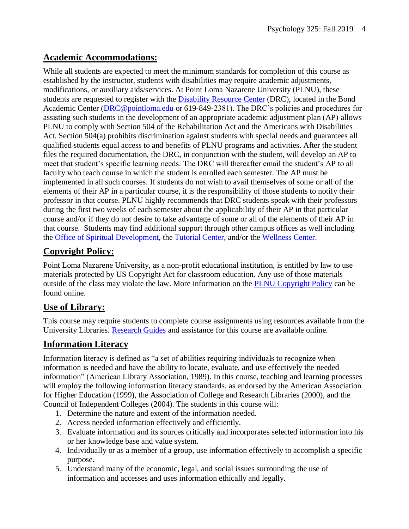## **Academic Accommodations:**

While all students are expected to meet the minimum standards for completion of this course as established by the instructor, students with disabilities may require academic adjustments, modifications, or auxiliary aids/services. At Point Loma Nazarene University (PLNU), these students are requested to register with the **Disability Resource Center** (DRC), located in the Bond Academic Center [\(DRC@pointloma.edu](mailto:DRC@pointloma.edu) or 619-849-2381). The DRC's policies and procedures for assisting such students in the development of an appropriate academic adjustment plan (AP) allows PLNU to comply with Section 504 of the Rehabilitation Act and the Americans with Disabilities Act. Section 504(a) prohibits discrimination against students with special needs and guarantees all qualified students equal access to and benefits of PLNU programs and activities. After the student files the required documentation, the DRC, in conjunction with the student, will develop an AP to meet that student's specific learning needs. The DRC will thereafter email the student's AP to all faculty who teach course in which the student is enrolled each semester. The AP must be implemented in all such courses. If students do not wish to avail themselves of some or all of the elements of their AP in a particular course, it is the responsibility of those students to notify their professor in that course. PLNU highly recommends that DRC students speak with their professors during the first two weeks of each semester about the applicability of their AP in that particular course and/or if they do not desire to take advantage of some or all of the elements of their AP in that course. Students may find additional support through other campus offices as well including the [Office of Spiritual Development,](https://www.pointloma.edu/offices/spiritual-development) the [Tutorial Center,](https://www.pointloma.edu/offices/tutorial-services) and/or the [Wellness Center.](https://www.pointloma.edu/offices/wellness-center)

## **Copyright Policy:**

Point Loma Nazarene University, as a non-profit educational institution, is entitled by law to use materials protected by US Copyright Act for classroom education. Any use of those materials outside of the class may violate the law. More information on the [PLNU Copyright Policy](http://libguides.pointloma.edu/content.php?pid=203591&sid=1700398) can be found online.

## **Use of Library:**

This course may require students to complete course assignments using resources available from the University Libraries. [Research Guides](http://libguides.pointloma.edu/ResearchGuides) and assistance for this course are available online.

## **Information Literacy**

Information literacy is defined as "a set of abilities requiring individuals to recognize when information is needed and have the ability to locate, evaluate, and use effectively the needed information" (American Library Association, 1989). In this course, teaching and learning processes will employ the following information literacy standards, as endorsed by the American Association for Higher Education (1999), the Association of College and Research Libraries (2000), and the Council of Independent Colleges (2004). The students in this course will:

- 1. Determine the nature and extent of the information needed.
- 2. Access needed information effectively and efficiently.
- 3. Evaluate information and its sources critically and incorporates selected information into his or her knowledge base and value system.
- 4. Individually or as a member of a group, use information effectively to accomplish a specific purpose.
- 5. Understand many of the economic, legal, and social issues surrounding the use of information and accesses and uses information ethically and legally.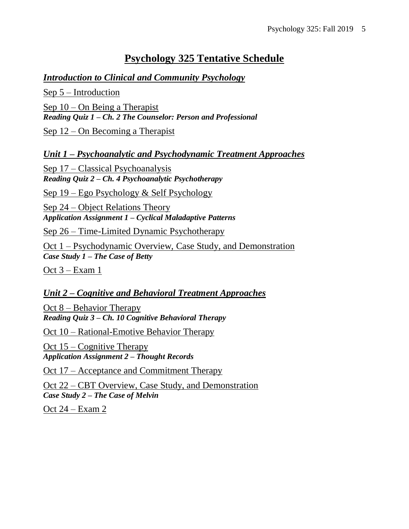# **Psychology 325 Tentative Schedule**

#### *Introduction to Clinical and Community Psychology*

Sep 5 – Introduction Sep 10 – On Being a Therapist *Reading Quiz 1 – Ch. 2 The Counselor: Person and Professional*

Sep 12 – On Becoming a Therapist

*Unit 1 – Psychoanalytic and Psychodynamic Treatment Approaches*

Sep 17 – Classical Psychoanalysis *Reading Quiz 2 – Ch. 4 Psychoanalytic Psychotherapy*

Sep 19 – Ego Psychology & Self Psychology

Sep 24 – Object Relations Theory *Application Assignment 1 – Cyclical Maladaptive Patterns*

Sep 26 – Time-Limited Dynamic Psychotherapy

Oct 1 – Psychodynamic Overview, Case Study, and Demonstration *Case Study 1 – The Case of Betty*

Oct 3 – Exam 1

#### *Unit 2 – Cognitive and Behavioral Treatment Approaches*

Oct 8 – Behavior Therapy *Reading Quiz 3 – Ch. 10 Cognitive Behavioral Therapy*

Oct 10 – Rational-Emotive Behavior Therapy

Oct 15 – Cognitive Therapy *Application Assignment 2 – Thought Records*

Oct 17 – Acceptance and Commitment Therapy

Oct 22 – CBT Overview, Case Study, and Demonstration *Case Study 2 – The Case of Melvin*

Oct 24 – Exam 2